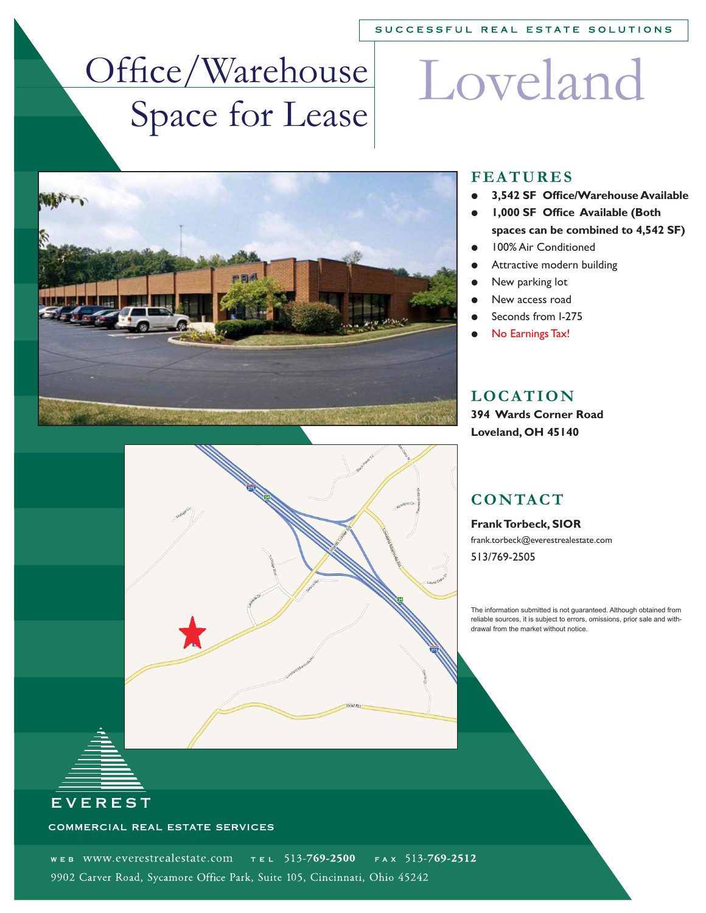#### SUCCESSFUL REAL ESTATE SOLUTIONS

# Office/Warehouse Space for Lease

# Loveland





#### **FEATURES**

- **3,542 SF Office/Warehouse Available**
- **1,000 SF Office Available (Both spaces can be combined to 4,542 SF)**
- 100% Air Conditioned
- Attractive modern building
- New parking lot
- New access road
- Seconds from I-275
- No Earnings Tax!

#### **LOCATION**

**394 Wards Corner Road Loveland, OH 45140**

#### **CONTACT**

**Frank Torbeck, SIOR** frank.torbeck@everestrealestate.com 513/769-2505

The information submitted is not guaranteed. Although obtained from reliable sources, it is subject to errors, omissions, prior sale and withdrawal from the market without notice.

#### COMMERCIAL REAL ESTATE SERVICES

**EVEREST** 

WEB WWW.everestrealestate.com  $T = 513-769-2500$  $FA \times 513 - 769 - 2512$ 9902 Carver Road, Sycamore Office Park, Suite 105, Cincinnati, Ohio 45242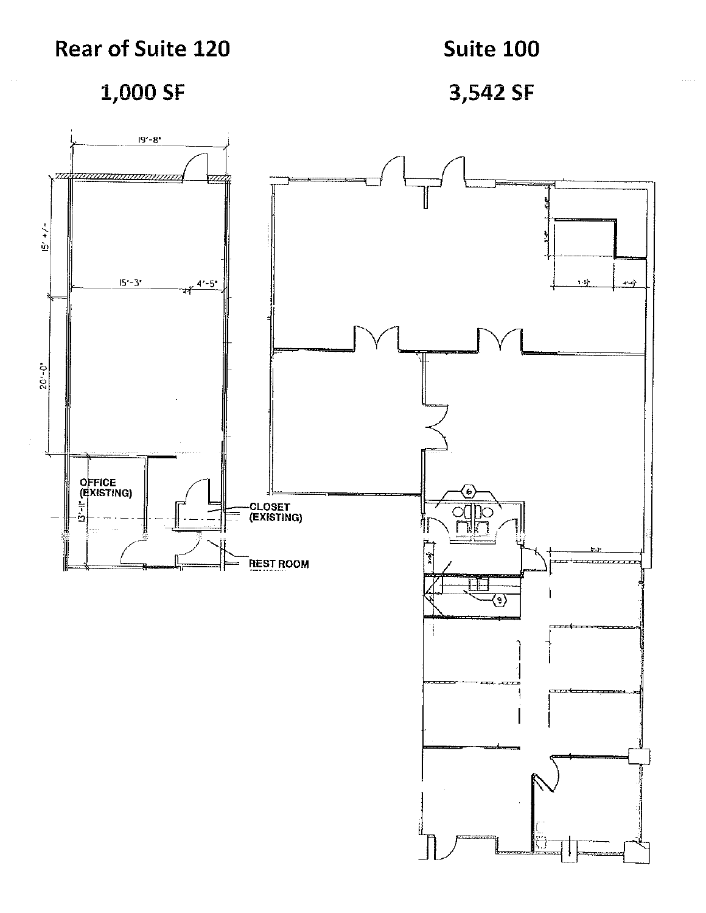### **Rear of Suite 120**

**Suite 100** 

1,000 SF

3,542 SF

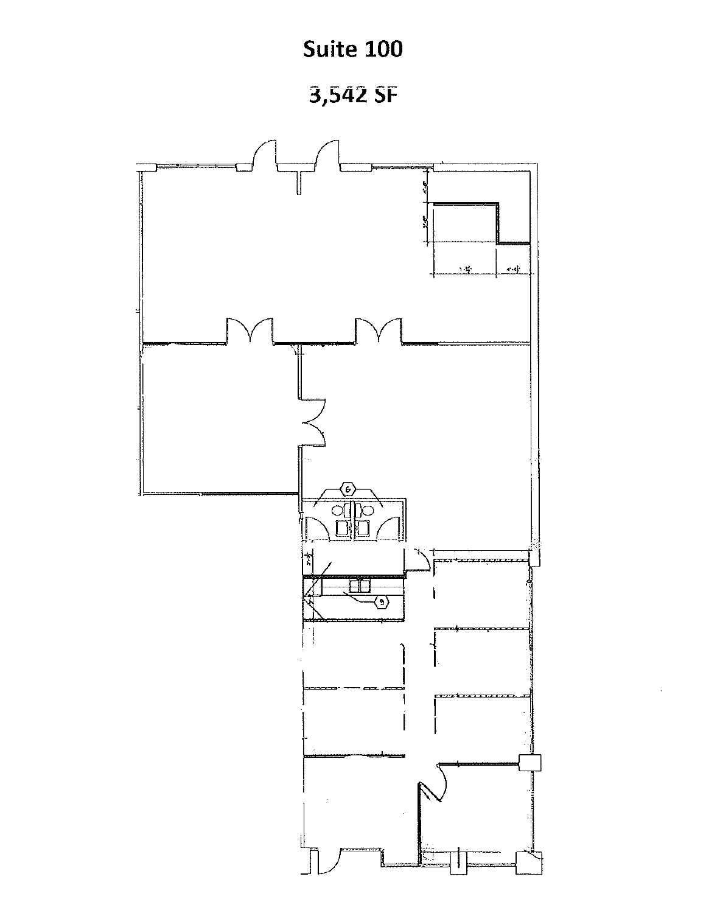## **Suite 100**

3,542 SF